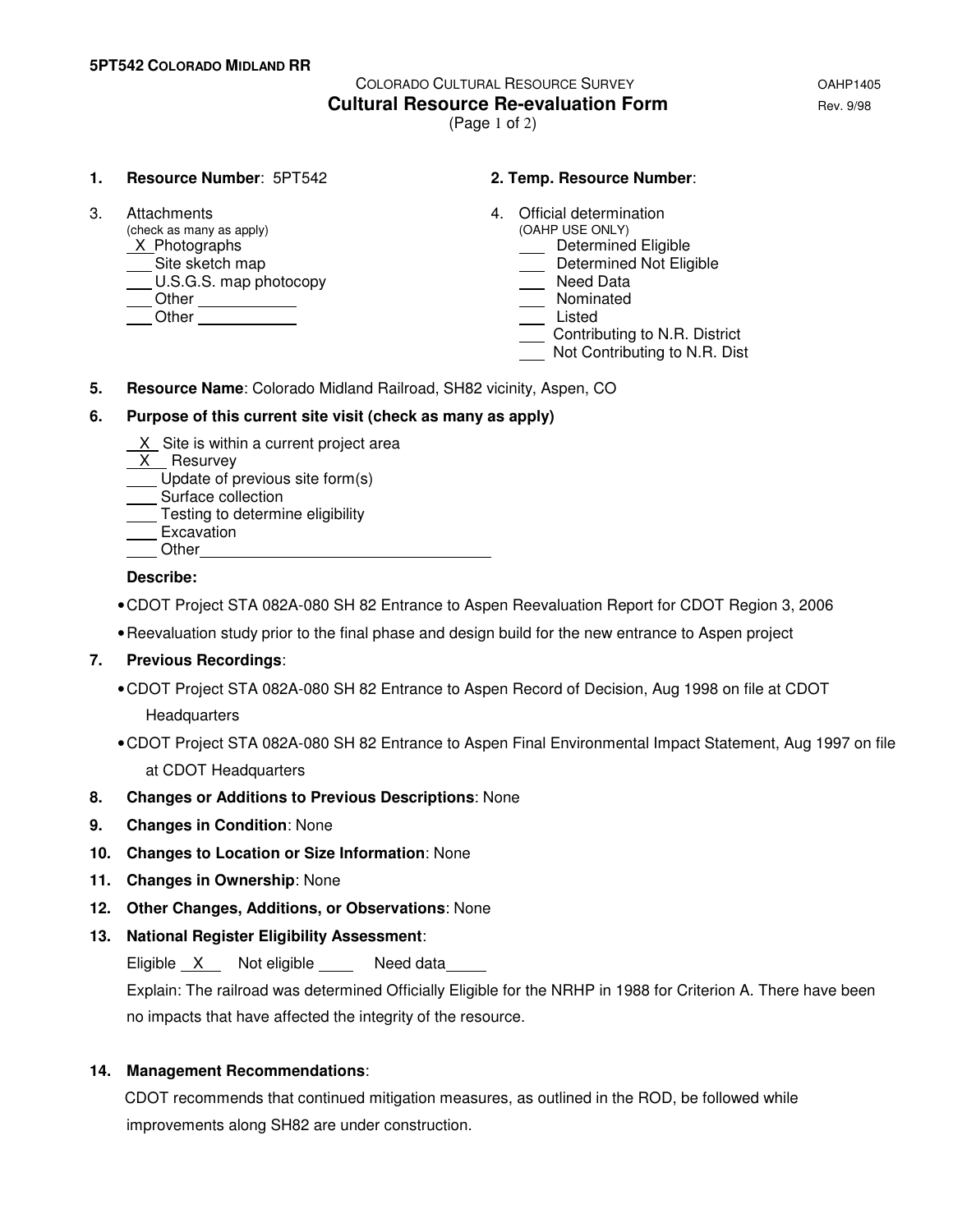# COLORADO CULTURAL RESOURCE SURVEY OAHP1405 **Cultural Resource Re-evaluation Form Example 2018** Rev. 9/98 (Page 1 of 2)

#### **1. Resource Number**: 5PT542 **2. Temp. Resource Number**:

(check as many as apply)  $\underline{X}$  Photographs <u>A</u>Site sketch map<br>
Determined Not Eligible<br>
Determined Not Eligible<br>
Determined Not Eligible<br>
Need Data  $\underline{\hspace{1cm}}$  U.S.G.S. map photocopy

Other Listed Communication

- 3. Attachments 4. Official determination (check as many as apply) 4. Official determination
	- **ID** Determined Eligible
	-
	-
	- Other Nominated
		-
		- Contributing to N.R. District
		- Not Contributing to N.R. Dist
- **5. Resource Name**: Colorado Midland Railroad, SH82 vicinity, Aspen, CO

# **6. Purpose of this current site visit (check as many as apply)**

- $X$  Site is within a current project area
- $X$  Resurvey
- Update of previous site form(s)
- \_\_ Surface collection
- **Testing to determine eligibility**
- Excavation **Other**

### **Describe:**

- CDOT Project STA 082A-080 SH 82 Entrance to Aspen Reevaluation Report for CDOT Region 3, 2006
- Reevaluation study prior to the final phase and design build for the new entrance to Aspen project

# **7. Previous Recordings**:

- CDOT Project STA 082A-080 SH 82 Entrance to Aspen Record of Decision, Aug 1998 on file at CDOT **Headquarters**
- CDOT Project STA 082A-080 SH 82 Entrance to Aspen Final Environmental Impact Statement, Aug 1997 on file at CDOT Headquarters
- **8. Changes or Additions to Previous Descriptions**: None
- **9. Changes in Condition**: None
- **10. Changes to Location or Size Information**: None
- **11. Changes in Ownership**: None
- **12. Other Changes, Additions, or Observations**: None
- **13. National Register Eligibility Assessment**:

Eligible X Not eligible Need data

 Explain: The railroad was determined Officially Eligible for the NRHP in 1988 for Criterion A. There have been no impacts that have affected the integrity of the resource.

#### **14. Management Recommendations**:

CDOT recommends that continued mitigation measures, as outlined in the ROD, be followed while improvements along SH82 are under construction.